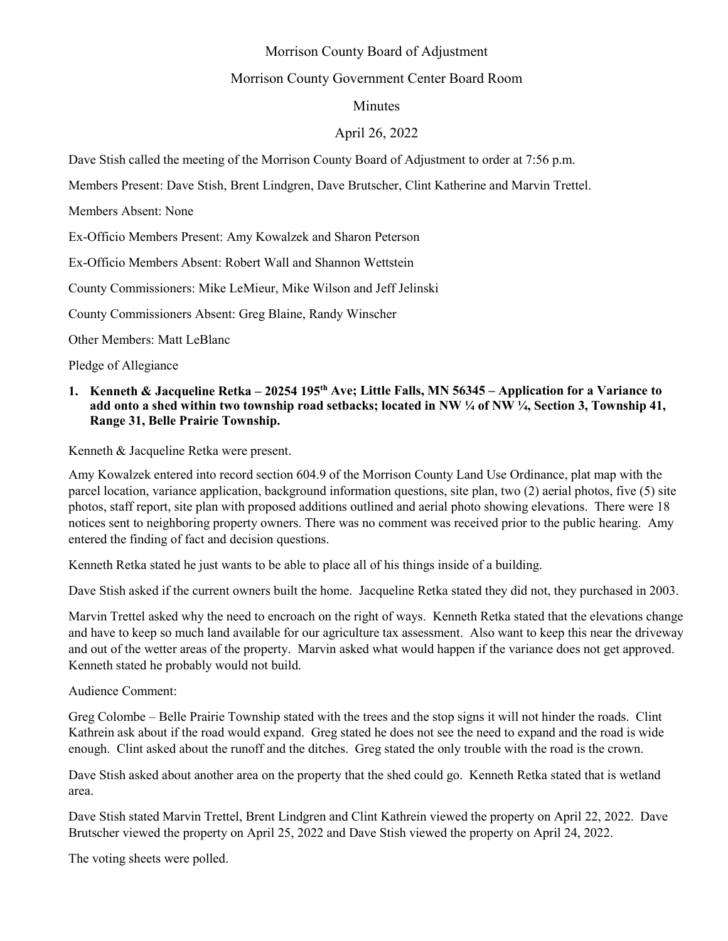# Morrison County Board of Adjustment

#### Morrison County Government Center Board Room

# Minutes

# April 26, 2022

Dave Stish called the meeting of the Morrison County Board of Adjustment to order at 7:56 p.m.

Members Present: Dave Stish, Brent Lindgren, Dave Brutscher, Clint Katherine and Marvin Trettel.

Members Absent: None

Ex-Officio Members Present: Amy Kowalzek and Sharon Peterson

Ex-Officio Members Absent: Robert Wall and Shannon Wettstein

County Commissioners: Mike LeMieur, Mike Wilson and Jeff Jelinski

County Commissioners Absent: Greg Blaine, Randy Winscher

Other Members: Matt LeBlanc

Pledge of Allegiance

#### **1. Kenneth & Jacqueline Retka – 20254 195th Ave; Little Falls, MN 56345 – Application for a Variance to add onto a shed within two township road setbacks; located in NW ¼ of NW ¼, Section 3, Township 41, Range 31, Belle Prairie Township.**

Kenneth & Jacqueline Retka were present.

Amy Kowalzek entered into record section 604.9 of the Morrison County Land Use Ordinance, plat map with the parcel location, variance application, background information questions, site plan, two (2) aerial photos, five (5) site photos, staff report, site plan with proposed additions outlined and aerial photo showing elevations. There were 18 notices sent to neighboring property owners. There was no comment was received prior to the public hearing. Amy entered the finding of fact and decision questions.

Kenneth Retka stated he just wants to be able to place all of his things inside of a building.

Dave Stish asked if the current owners built the home. Jacqueline Retka stated they did not, they purchased in 2003.

Marvin Trettel asked why the need to encroach on the right of ways. Kenneth Retka stated that the elevations change and have to keep so much land available for our agriculture tax assessment. Also want to keep this near the driveway and out of the wetter areas of the property. Marvin asked what would happen if the variance does not get approved. Kenneth stated he probably would not build.

Audience Comment:

Greg Colombe – Belle Prairie Township stated with the trees and the stop signs it will not hinder the roads. Clint Kathrein ask about if the road would expand. Greg stated he does not see the need to expand and the road is wide enough. Clint asked about the runoff and the ditches. Greg stated the only trouble with the road is the crown.

Dave Stish asked about another area on the property that the shed could go. Kenneth Retka stated that is wetland area.

Dave Stish stated Marvin Trettel, Brent Lindgren and Clint Kathrein viewed the property on April 22, 2022. Dave Brutscher viewed the property on April 25, 2022 and Dave Stish viewed the property on April 24, 2022.

The voting sheets were polled.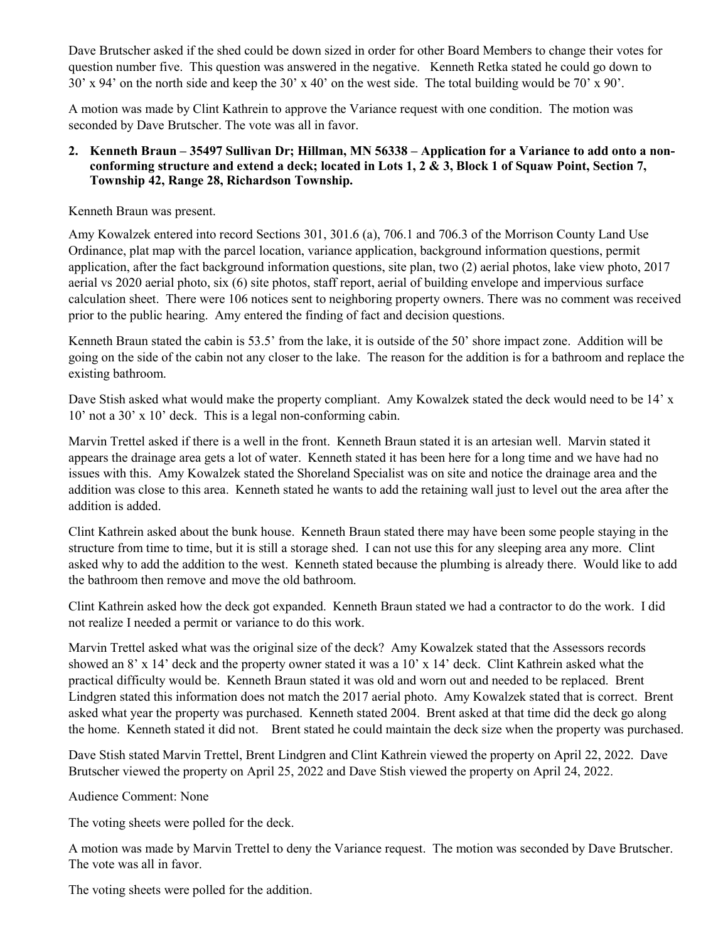Dave Brutscher asked if the shed could be down sized in order for other Board Members to change their votes for question number five. This question was answered in the negative. Kenneth Retka stated he could go down to 30' x 94' on the north side and keep the 30' x 40' on the west side. The total building would be 70' x 90'.

A motion was made by Clint Kathrein to approve the Variance request with one condition. The motion was seconded by Dave Brutscher. The vote was all in favor.

#### **2. Kenneth Braun – 35497 Sullivan Dr; Hillman, MN 56338 – Application for a Variance to add onto a nonconforming structure and extend a deck; located in Lots 1, 2 & 3, Block 1 of Squaw Point, Section 7, Township 42, Range 28, Richardson Township.**

Kenneth Braun was present.

Amy Kowalzek entered into record Sections 301, 301.6 (a), 706.1 and 706.3 of the Morrison County Land Use Ordinance, plat map with the parcel location, variance application, background information questions, permit application, after the fact background information questions, site plan, two (2) aerial photos, lake view photo, 2017 aerial vs 2020 aerial photo, six (6) site photos, staff report, aerial of building envelope and impervious surface calculation sheet. There were 106 notices sent to neighboring property owners. There was no comment was received prior to the public hearing. Amy entered the finding of fact and decision questions.

Kenneth Braun stated the cabin is 53.5' from the lake, it is outside of the 50' shore impact zone. Addition will be going on the side of the cabin not any closer to the lake. The reason for the addition is for a bathroom and replace the existing bathroom.

Dave Stish asked what would make the property compliant. Amy Kowalzek stated the deck would need to be 14' x 10' not a 30' x 10' deck. This is a legal non-conforming cabin.

Marvin Trettel asked if there is a well in the front. Kenneth Braun stated it is an artesian well. Marvin stated it appears the drainage area gets a lot of water. Kenneth stated it has been here for a long time and we have had no issues with this. Amy Kowalzek stated the Shoreland Specialist was on site and notice the drainage area and the addition was close to this area. Kenneth stated he wants to add the retaining wall just to level out the area after the addition is added.

Clint Kathrein asked about the bunk house. Kenneth Braun stated there may have been some people staying in the structure from time to time, but it is still a storage shed. I can not use this for any sleeping area any more. Clint asked why to add the addition to the west. Kenneth stated because the plumbing is already there. Would like to add the bathroom then remove and move the old bathroom.

Clint Kathrein asked how the deck got expanded. Kenneth Braun stated we had a contractor to do the work. I did not realize I needed a permit or variance to do this work.

Marvin Trettel asked what was the original size of the deck? Amy Kowalzek stated that the Assessors records showed an 8' x 14' deck and the property owner stated it was a 10' x 14' deck. Clint Kathrein asked what the practical difficulty would be. Kenneth Braun stated it was old and worn out and needed to be replaced. Brent Lindgren stated this information does not match the 2017 aerial photo. Amy Kowalzek stated that is correct. Brent asked what year the property was purchased. Kenneth stated 2004. Brent asked at that time did the deck go along the home. Kenneth stated it did not. Brent stated he could maintain the deck size when the property was purchased.

Dave Stish stated Marvin Trettel, Brent Lindgren and Clint Kathrein viewed the property on April 22, 2022. Dave Brutscher viewed the property on April 25, 2022 and Dave Stish viewed the property on April 24, 2022.

Audience Comment: None

The voting sheets were polled for the deck.

A motion was made by Marvin Trettel to deny the Variance request. The motion was seconded by Dave Brutscher. The vote was all in favor.

The voting sheets were polled for the addition.